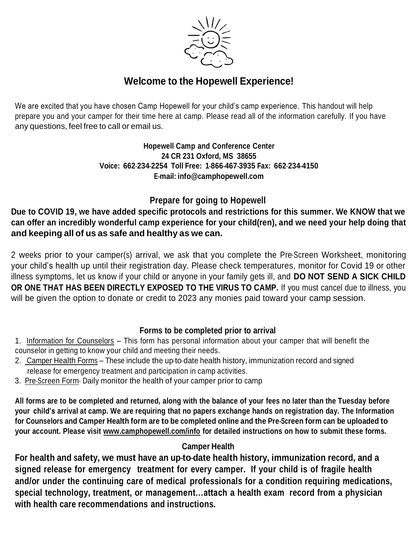

## **Welcome to the Hopewell Experience!**

We are excited that you have chosen Camp Hopewell for your child's camp experience. This handout will help prepare you and your camper for their time here at camp. Please read all of the information carefully. If you have any questions, feel free to call or email us.

> **Hopewell Camp and Conference Center 24 CR 231 Oxford, MS 38655 Voice: 662--**‐**234--**‐**2254 Toll Free: 1--**‐**866--**‐**467--**‐**3935 Fax: 662--**‐**234--**‐**4150 E--**‐**mail: [info@camphopewell.com](mailto:info@camphopewell.com)**

## **Prepare for going to Hopewell**

**Due to COVID 19, we have added specific protocols and restrictions for this summer. We KNOW that we can offer an incredibly wonderful camp experience for your child(ren), and we need your help doing that and keeping all of us as safe and healthy as we can.**

2 weeks prior to your camper(s) arrival, we ask that you complete the Pre-Screen Worksheet, monitoring your child's health up until their registration day. Please check temperatures, monitor for Covid 19 or other illness symptoms, let us know if your child or anyone in your family gets ill, and **DO NOT SEND A SICK CHILD OR ONE THAT HAS BEEN DIRECTLY EXPOSED TO THE VIRUS TO CAMP.** If you must cancel due to illness, you will be given the option to donate or credit to 2023 any monies paid toward your camp session.

## **Forms to be completed prior to arrival**

- 1. Information for Counselors This form has personal information about your camper that will benefit the counselor in getting to know your child and meeting their needs.
- 2. Camper Health Forms These include the up-to-date health history, immunization record and signed release for emergency treatment and participation in camp activities.
- 3. Pre-Screen Form-Daily monitor the health of your camper prior to camp

All forms are to be completed and returned, along with the balance of your fees no later than the Tuesday before your child's arrival at camp. We are requiring that no papers exchange hands on registration day. The Information for Counselors and Camper Health form are to be completed online and the Pre-Screen form can be uploaded to **your account. Please visit [www.camphopewell.com/info](http://www.camphopewell.com/info) for detailed instructions on how to submit these forms.**

## **Camper Health**

**For health and safety, we must have an up--**‐**to--**‐**date health history, immunization record, and a signed release for emergency treatment for every camper. If your child is of fragile health and/or under the continuing care of medical professionals for a condition requiring medications, special technology, treatment, or management…attach a health exam record from a physician with health care recommendations and instructions.**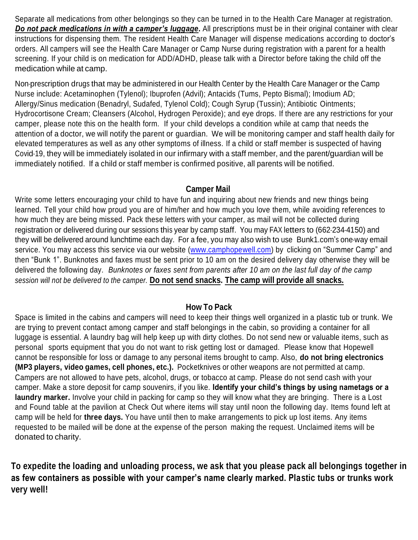Separate all medications from other belongings so they can be turned in to the Health Care Manager at registration. *Do not pack medications in with a camper's luggage***.** All prescriptions must be in their original container with clear instructions for dispensing them. The resident Health Care Manager will dispense medications according to doctor's orders. All campers will see the Health Care Manager or Camp Nurse during registration with a parent for a health screening. If your child is on medication for ADD/ADHD, please talk with a Director before taking the child off the medication while at camp.

Non-prescription drugs that may be administered in our Health Center by the Health Care Manager or the Camp Nurse include: Acetaminophen (Tylenol); Ibuprofen (Advil); Antacids (Tums, Pepto Bismal); Imodium AD; Allergy/Sinus medication (Benadryl, Sudafed, Tylenol Cold); Cough Syrup (Tussin); Antibiotic Ointments; Hydrocortisone Cream; Cleansers (Alcohol, Hydrogen Peroxide); and eye drops. If there are any restrictions for your camper, please note this on the health form. If your child develops a condition while at camp that needs the attention of a doctor, we will notify the parent or guardian. We will be monitoring camper and staff health daily for elevated temperatures as well as any other symptoms of illness. If a child or staff member is suspected of having Covid-19, they will be immediately isolated in our infirmary with a staff member, and the parent/guardian will be immediately notified. If a child or staff member is confirmed positive, all parents will be notified.

#### **Camper Mail**

Write some letters encouraging your child to have fun and inquiring about new friends and new things being learned. Tell your child how proud you are of him/her and how much you love them, while avoiding references to how much they are being missed. Pack these letters with your camper, as mail will not be collected during registration or delivered during our sessions this year by camp staff. You may FAX letters to (662-234-4150) and they will be delivered around lunchtime each day. For a fee, you may also wish to use Bunk1.com's one-way email service. You may access this service via our website (www.camphopewell.com) by clicking on "Summer Camp" and then "Bunk 1". Bunknotes and faxes must be sent prior to 10 am on the desired delivery day otherwise they will be delivered the following day. *Bunknotes or faxes sent from parents after 10 am on the last full day of the camp session will not be delivered to the camper.* **Do not send snacks. The camp will provide all snacks.**

## **How To Pack**

Space is limited in the cabins and campers will need to keep their things well organized in a plastic tub or trunk. We are trying to prevent contact among camper and staff belongings in the cabin, so providing a container for all luggage is essential. A laundry bag will help keep up with dirty clothes. Do not send new or valuable items, such as personal sports equipment that you do not want to risk getting lost or damaged. Please know that Hopewell cannot be responsible for loss or damage to any personal items brought to camp. Also, **do not bring electronics (MP3 players, video games, cell phones, etc.).** Pocketknives or other weapons are not permitted at camp. Campers are not allowed to have pets, alcohol, drugs, or tobacco at camp. Please do not send cash with your camper. Make a store deposit for camp souvenirs, if you like. **Identify your child's things by using nametags or a laundry marker.** Involve your child in packing for camp so they will know what they are bringing. There is a Lost and Found table at the pavilion at Check Out where items will stay until noon the following day. Items found left at camp will be held for **three days.** You have until then to make arrangements to pick up lost items. Any items requested to be mailed will be done at the expense of the person making the request. Unclaimed items will be donated to charity.

**To expedite the loading and unloading process, we ask that you please pack all belongings together in as few containers as possible with your camper's name clearly marked. Plastic tubs or trunks work very well!**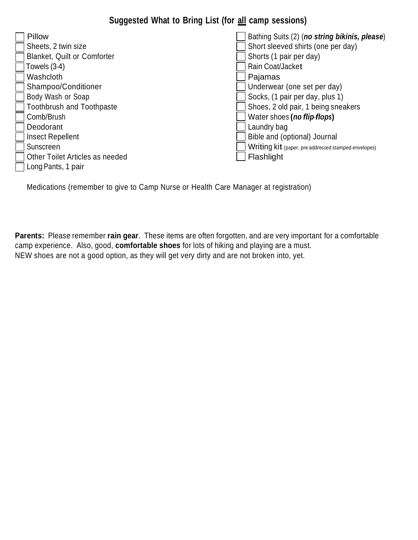## **Suggested What to Bring List (for all camp sessions)**

| Pillow                             | Bathing Suits (2) (no string bikinis, please)        |
|------------------------------------|------------------------------------------------------|
| Sheets, 2 twin size                | Short sleeved shirts (one per day)                   |
| <b>Blanket, Quilt or Comforter</b> | Shorts (1 pair per day)                              |
| Towels (3-4)                       | Rain Coat/Jacket                                     |
| Washcloth                          | Pajamas                                              |
| Shampoo/Conditioner                | Underwear (one set per day)                          |
| Body Wash or Soap                  | Socks, (1 pair per day, plus 1)                      |
| <b>Toothbrush and Toothpaste</b>   | Shoes, 2 old pair, 1 being sneakers                  |
| Comb/Brush                         | Water shoes (no flip flops)                          |
| Deodorant                          | Laundry bag                                          |
| <b>Insect Repellent</b>            | Bible and (optional) Journal                         |
| Sunscreen                          | Writing kit (paper, pre-addressed stamped envelopes) |
| Other Toilet Articles as needed    | Flashlight                                           |
| Long Pants, 1 pair                 |                                                      |

Medications (remember to give to Camp Nurse or Health Care Manager at registration)

**Parents:** Please remember **rain gear**. These items are often forgotten, and are very important for a comfortable camp experience. Also, good, **comfortable shoes** for lots of hiking and playing are a must. NEW shoes are not a good option, as they will get very dirty and are not broken into, yet.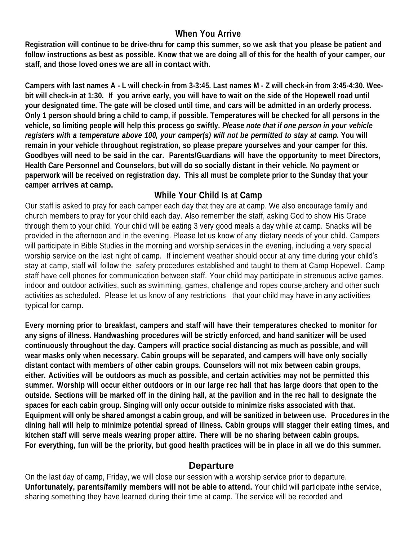## **When You Arrive**

**Registration will continue to be drive-thru for camp this summer, so we ask that you please be patient and** follow instructions as best as possible. Know that we are doing all of this for the health of your camper, our **staff, and those loved ones we are all in contact with.**

Campers with last names A - L will check-in from 3-3:45. Last names M - Z will check-in from 3:45-4:30. Weebit will check-in at 1:30. If you arrive early, you will have to wait on the side of the Hopewell road until your designated time. The gate will be closed until time, and cars will be admitted in an orderly process. **Only 1 person should bring a child to camp, if possible. Temperatures will be checked for all persons in the vehicle, so limiting people will help this process go swiftly.** *Please note that if one person in your vehicle* registers with a temperature above 100, your camper(s) will not be permitted to stay at camp. You will **remain in your vehicle throughout registration, so please prepare yourselves and your camper for this. Goodbyes will need to be said in the car. Parents/Guardians will have the opportunity to meet Directors, Health Care Personnel and Counselors, but will do so socially distant in their vehicle. No payment or** paperwork will be received on registration day. This all must be complete prior to the Sunday that your **camper arrives at camp.**

## **While Your Child Is at Camp**

Our staff is asked to pray for each camper each day that they are at camp. We also encourage family and church members to pray for your child each day. Also remember the staff, asking God to show His Grace through them to your child. Your child will be eating 3 very good meals a day while at camp. Snacks will be provided in the afternoon and in the evening. Please let us know of any dietary needs of your child. Campers will participate in Bible Studies in the morning and worship services in the evening, including a very special worship service on the last night of camp. If inclement weather should occur at any time during your child's stay at camp, staff will follow the safety procedures established and taught to them at Camp Hopewell. Camp staff have cell phones for communication between staff. Your child may participate in strenuous active games, indoor and outdoor activities, such as swimming, games, challenge and ropes course,archery and other such activities as scheduled. Please let us know of any restrictions that your child may have in any activities typical for camp.

**Every morning prior to breakfast, campers and staff will have their temperatures checked to monitor for any signs of illness. Handwashing procedures will be strictly enforced, and hand sanitizer will be used continuously throughout the day. Campers will practice social distancing as much as possible, and will wear masks only when necessary. Cabin groups will be separated, and campers will have only socially distant contact with members of other cabin groups. Counselors will not mix between cabin groups, either. Activities will be outdoors as much as possible, and certain activities may not be permitted this** summer. Worship will occur either outdoors or in our large rec hall that has large doors that open to the outside. Sections will be marked off in the dining hall, at the pavilion and in the rec hall to designate the **spaces for each cabin group. Singing will only occur outside to minimize risks associated with that. Equipment will only be shared amongst a cabin group, and will be sanitized in between use. Procedures in the dining hall will help to minimize potential spread of illness. Cabin groups will stagger their eating times, and kitchen staff will serve meals wearing proper attire. There will be no sharing between cabin groups.** For everything, fun will be the priority, but good health practices will be in place in all we do this summer.

#### **Departure**

On the last day of camp, Friday, we will close our session with a worship service prior to departure. **Unfortunately, parents/family members will not be able to attend.** Your child will participate inthe service, sharing something they have learned during their time at camp. The service will be recorded and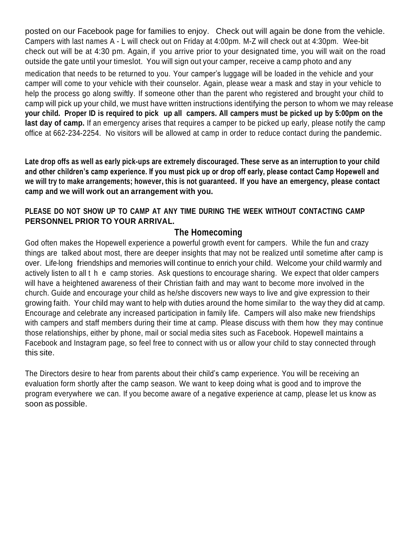posted on our Facebook page for families to enjoy. Check out will again be done from the vehicle. Campers with last names A - L will check out on Friday at 4:00pm. M-Z will check out at 4:30pm. Wee-bit check out will be at 4:30 pm. Again, if you arrive prior to your designated time, you will wait on the road outside the gate until your timeslot. You will sign out your camper, receive a camp photo and any

medication that needs to be returned to you. Your camper's luggage will be loaded in the vehicle and your camper will come to your vehicle with their counselor. Again, please wear a mask and stay in your vehicle to help the process go along swiftly. If someone other than the parent who registered and brought your child to camp will pick up your child, we must have written instructions identifying the person to whom we may release your child. Proper ID is required to pick up all campers. All campers must be picked up by 5:00pm on the **last day of camp.** If an emergency arises that requires a camper to be picked up early, please notify the camp office at 662-234-2254. No visitors will be allowed at camp in order to reduce contact during the pandemic.

**Late drop offs as well as early pick-ups are extremely discouraged. These serve as an interruption to your child and other children's camp experience. If you must pick up or drop off early, please contact Camp Hopewell and we will try to make arrangements; however, this is not guaranteed. If you have an emergency, please contact camp and we will work out an arrangement with you.**

#### **PLEASE DO NOT SHOW UP TO CAMP AT ANY TIME DURING THE WEEK WITHOUT CONTACTING CAMP PERSONNEL PRIOR TO YOUR ARRIVAL.**

### **The Homecoming**

God often makes the Hopewell experience a powerful growth event for campers. While the fun and crazy things are talked about most, there are deeper insights that may not be realized until sometime after camp is over. Life-long friendships and memories will continue to enrich your child. Welcome your child warmly and actively listen to all t h e camp stories. Ask questions to encourage sharing. We expect that older campers will have a heightened awareness of their Christian faith and may want to become more involved in the church. Guide and encourage your child as he/she discovers new ways to live and give expression to their growing faith. Your child may want to help with duties around the home similar to the way they did at camp. Encourage and celebrate any increased participation in family life. Campers will also make new friendships with campers and staff members during their time at camp. Please discuss with them how they may continue those relationships, either by phone, mail or social media sites such as Facebook. Hopewell maintains a Facebook and Instagram page, so feel free to connect with us or allow your child to stay connected through this site.

The Directors desire to hear from parents about their child's camp experience. You will be receiving an evaluation form shortly after the camp season. We want to keep doing what is good and to improve the program everywhere we can. If you become aware of a negative experience at camp, please let us know as soon as possible.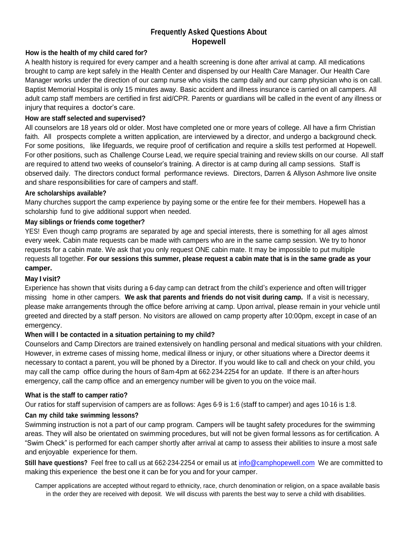#### **Frequently Asked Questions About Hopewell**

#### **How is the health of my child cared for?**

A health history is required for every camper and a health screening is done after arrival at camp. All medications brought to camp are kept safely in the Health Center and dispensed by our Health Care Manager. Our Health Care Manager works under the direction of our camp nurse who visits the camp daily and our camp physician who is on call. Baptist Memorial Hospital is only 15 minutes away. Basic accident and illness insurance is carried on all campers. All adult camp staff members are certified in first aid/CPR. Parents or guardians will be called in the event of any illness or injury that requires a doctor's care.

#### **How are staff selected and supervised?**

All counselors are 18 years old or older. Most have completed one or more years of college. All have a firm Christian faith. All prospects complete a written application, are interviewed by a director, and undergo a background check. For some positions, like lifeguards, we require proof of certification and require a skills test performed at Hopewell. For other positions, such as Challenge Course Lead, we require special training and review skills on our course. All staff are required to attend two weeks of counselor's training. A director is at camp during all camp sessions. Staff is observed daily. The directors conduct formal performance reviews. Directors, Darren & Allyson Ashmore live onsite and share responsibilities for care of campers and staff.

#### **Are scholarships available?**

Many churches support the camp experience by paying some or the entire fee for their members. Hopewell has a scholarship fund to give additional support when needed.

#### **May siblings or friends come together?**

YES! Even though camp programs are separated by age and special interests, there is something for all ages almost every week. Cabin mate requests can be made with campers who are in the same camp session. We try to honor requests for a cabin mate. We ask that you only request ONE cabin mate. It may be impossible to put multiple requests all together. **For our sessions this summer, please request a cabin mate that is in the same grade as your camper.** 

#### **May I visit?**

Experience has shown that visits during a 6-day camp can detract from the child's experience and often will trigger missing home in other campers. **We ask that parents and friends do not visit during camp.** If a visit is necessary, please make arrangements through the office before arriving at camp. Upon arrival, please remain in your vehicle until greeted and directed by a staff person. No visitors are allowed on camp property after 10:00pm, except in case of an emergency.

#### **When will I be contacted in a situation pertaining to my child?**

Counselors and Camp Directors are trained extensively on handling personal and medical situations with your children. However, in extreme cases of missing home, medical illness or injury, or other situations where a Director deems it necessary to contact a parent, you will be phoned by a Director. If you would like to call and check on your child, you may call the camp office during the hours of 8am-4pm at 662-234-2254 for an update. If there is an after-hours emergency, call the camp office and an emergency number will be given to you on the voice mail.

#### **What is the staff to camper ratio?**

Our ratios for staff supervision of campers are as follows: Ages 6-9 is 1:6 (staff to camper) and ages 10-16 is 1:8.

#### **Can my child take swimming lessons?**

Swimming instruction is not a part of our camp program. Campers will be taught safety procedures for the swimming areas. They will also be orientated on swimming procedures, but will not be given formal lessons as for certification. A "Swim Check" is performed for each camper shortly after arrival at camp to assess their abilities to insure a most safe and enjoyable experience for them.

**Still have questions?** Feel free to call us at 662-234-2254 or email us at [info@camphopewell.com](mailto:info@camphopewell.com) We are committed to making this experience the best one it can be for you and for your camper.

Camper applications are accepted without regard to ethnicity, race, church denomination or religion, on a space available basis in the order they are received with deposit. We will discuss with parents the best way to serve a child with disabilities.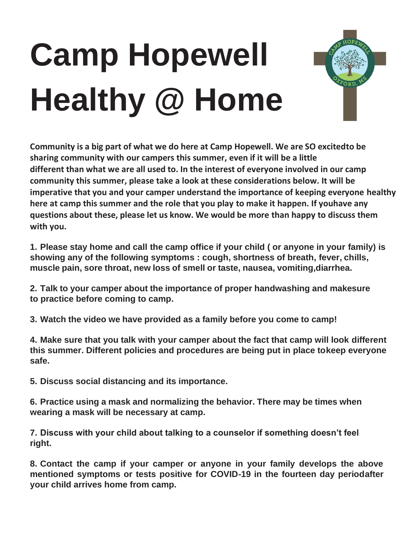# **Camp Hopewell Healthy @ Home**



**Community is a big part of what we do here at Camp Hopewell. We are SO excitedto be sharing community with our campers this summer, even if it will be a little different than what we are all used to. In the interest of everyone involved in our camp community this summer, please take a look at these considerations below. It will be imperative that you and your camper understand the importance of keeping everyone healthy here at camp this summer and the role that you play to make it happen. If youhave any questions about these, please let us know. We would be more than happy to discuss them with you.**

**1. Please stay home and call the camp office if your child ( or anyone in your family) is showing any of the following symptoms : cough, shortness of breath, fever, chills, muscle pain, sore throat, new loss of smell or taste, nausea, vomiting,diarrhea.**

**2. Talk to your camper about the importance of proper handwashing and makesure to practice before coming to camp.**

**3. Watch the video we have provided as a family before you come to camp!**

**4. Make sure that you talk with your camper about the fact that camp will look different this summer. Different policies and procedures are being put in place tokeep everyone safe.**

**5. Discuss social distancing and its importance.**

**6. Practice using a mask and normalizing the behavior. There may be times when wearing a mask will be necessary at camp.**

**7. Discuss with your child about talking to a counselor if something doesn't feel right.**

**8. Contact the camp if your camper or anyone in your family develops the above mentioned symptoms or tests positive for COVID-19 in the fourteen day periodafter your child arrives home from camp.**